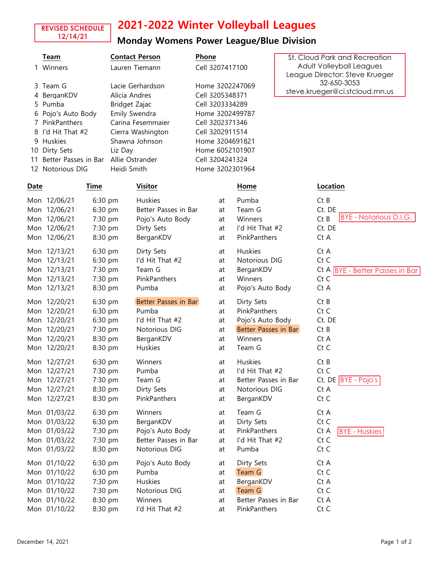# 2021-2022 Winter Volleyball Leagues

#### **REVISED SCHEDULE 12/14/21**

### Monday Womens Power League/Blue Division

|      | Team                 |         | <b>Contact Person</b> |  | Phone           |                      | St. Cloud Park and Recreation  |                                 |
|------|----------------------|---------|-----------------------|--|-----------------|----------------------|--------------------------------|---------------------------------|
|      | Winners              |         | Lauren Tiemann        |  | Cell 3207417100 |                      | Adult Volleyball Leagues       |                                 |
|      |                      |         |                       |  |                 |                      | League Director: Steve Krueger |                                 |
| 3.   | Team G               |         | Lacie Gerhardson      |  | Home 3202247069 |                      | 32-650-3053                    |                                 |
| 4    | BerganKDV            |         | Alicia Andres         |  | Cell 3205348371 |                      | steve.krueger@ci.stcloud.mn.us |                                 |
| 5.   | Pumba                |         | Bridget Zajac         |  | Cell 3203334289 |                      |                                |                                 |
|      | Pojo's Auto Body     |         | Emily Swendra         |  | Home 3202499787 |                      |                                |                                 |
|      | PinkPanthers         |         | Carina Fesemmaier     |  | Cell 3202371346 |                      |                                |                                 |
|      | I'd Hit That #2      |         | Cierra Washington     |  | Cell 3202911514 |                      |                                |                                 |
| 9    | Huskies              |         | Shawna Johnson        |  | Home 3204691821 |                      |                                |                                 |
| 10   | Dirty Sets           |         | Liz Day               |  | Home 6052101907 |                      |                                |                                 |
| 11   | Better Passes in Bar |         | Allie Ostrander       |  | Cell 3204241324 |                      |                                |                                 |
|      | 12 Notorious DIG     |         | Heidi Smith           |  | Home 3202301964 |                      |                                |                                 |
| Date | Time                 |         | <b>Visitor</b>        |  |                 | Home                 |                                | Location                        |
|      | Mon 12/06/21         | 6:30 pm | <b>Huskies</b>        |  | at              | Pumba                |                                | CtB                             |
|      | Mon 12/06/21         | 6:30 pm | Better Passes in Bar  |  | at              | Team G               |                                | Ct. DE                          |
|      | Mon 12/06/21         | 7:30 pm | Pojo's Auto Body      |  | at              | Winners              |                                | BYE - Notorious D.I.G.<br>CtB   |
|      | Mon 12/06/21         | 7:30 pm | Dirty Sets            |  | at              | I'd Hit That #2      |                                | Ct. DE                          |
|      | Mon 12/06/21         | 8:30 pm | BerganKDV             |  | at              | PinkPanthers         |                                | Ct A                            |
|      | Mon 12/13/21         | 6:30 pm | Dirty Sets            |  | at              | Huskies              |                                | Ct A                            |
|      | Mon 12/13/21         | 6:30 pm | I'd Hit That #2       |  | at              | Notorious DIG        |                                | Ct C                            |
|      | Mon 12/13/21         | 7:30 pm | Team G                |  | at              | BerganKDV            |                                | Ct A BYE - Better Passes in Bar |
|      | Mon 12/13/21         | 7:30 pm | PinkPanthers          |  | at              | Winners              |                                | Ct C                            |
|      | Mon 12/13/21         | 8:30 pm | Pumba                 |  | at              | Pojo's Auto Body     |                                | Ct A                            |
|      | Mon 12/20/21         | 6:30 pm | Better Passes in Bar  |  | at              | Dirty Sets           |                                | Ct B                            |
|      | Mon 12/20/21         | 6:30 pm | Pumba                 |  | at              | PinkPanthers         |                                | Ct C                            |
|      | Mon 12/20/21         | 6:30 pm | I'd Hit That #2       |  | at              | Pojo's Auto Body     |                                | Ct. DE                          |
|      | Mon 12/20/21         | 7:30 pm | Notorious DIG         |  | at              | Better Passes in Bar |                                | CtB                             |
|      | Mon 12/20/21         | 8:30 pm | BerganKDV             |  | at              | Winners              |                                | Ct A                            |
|      | Mon 12/20/21         | 8:30 pm | Huskies               |  | at              | Team G               |                                | Ct C                            |
|      | Mon 12/27/21         | 6:30 pm | Winners               |  | at              | Huskies              |                                | CtB                             |
|      | Mon 12/27/21         | 7:30 pm | Pumba                 |  | at              | I'd Hit That #2      |                                | Ct C                            |
|      | Mon 12/27/21         | 7:30 pm | Team G                |  | at              | Better Passes in Bar |                                | $Ct.$ DE $BYE - Pojo's$         |
|      | Mon 12/27/21         | 8:30 pm | Dirty Sets            |  | at              | Notorious DIG        |                                | Ct A                            |
|      | Mon 12/27/21         | 8:30 pm | PinkPanthers          |  | at              | BerganKDV            |                                | Ct C                            |
|      | Mon 01/03/22         | 6:30 pm | Winners               |  | at              | Team G               |                                | Ct A                            |
|      | Mon 01/03/22         | 6:30 pm | BerganKDV             |  | at              | Dirty Sets           |                                | Ct C                            |
|      | Mon 01/03/22         | 7:30 pm | Pojo's Auto Body      |  | at              | PinkPanthers         |                                | Ct A<br><b>BYE</b> - Huskies    |
|      | Mon 01/03/22         | 7:30 pm | Better Passes in Bar  |  | at              | I'd Hit That #2      |                                | Ct C                            |
|      | Mon 01/03/22         | 8:30 pm | Notorious DIG         |  | at              | Pumba                |                                | Ct C                            |
|      | Mon 01/10/22         | 6:30 pm | Pojo's Auto Body      |  | at              | Dirty Sets           |                                | Ct A                            |
|      | Mon 01/10/22         | 6:30 pm | Pumba                 |  | at              | Team G               |                                | Ct C                            |
|      | Mon 01/10/22         | 7:30 pm | Huskies               |  | at              | BerganKDV            |                                | Ct A                            |
|      | Mon 01/10/22         | 7:30 pm | Notorious DIG         |  | at              | Team G               |                                | Ct C                            |
|      | Mon 01/10/22         | 8:30 pm | Winners               |  | at              | Better Passes in Bar |                                | Ct A                            |
|      | Mon 01/10/22         | 8:30 pm | I'd Hit That #2       |  | at              | PinkPanthers         |                                | Ct C                            |